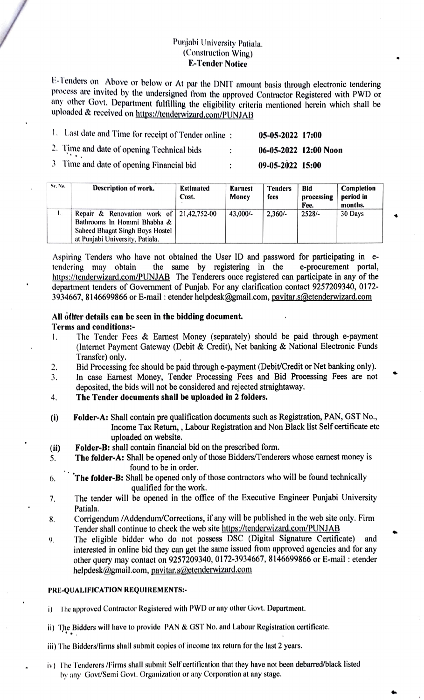## Punjabi University Patiala. (Construction Wing) E-Tender Notice

ETenders on Above or below or At par the DNIT amount basis through electronic tendering process are invited by the undersigned from the approved Contractor Registered with PWD or any other Govt. Department fulfiling the eligibility criteria mentioned herein which shall be uploaded & received on https://tenderwizard.com/PUNJAB

| 1. Last date and Time for receipt of Tender online: |   | $05-05-2022$ 17:00 |                       |
|-----------------------------------------------------|---|--------------------|-----------------------|
| 2. Time and date of opening Technical bids          | ٠ |                    | 06-05-2022 12:00 Noon |
| 3 Time and date of opening Financial bid            | ٠ | 09-05-2022 15:00   |                       |

| Sr. No. | Description of work.                                                                                                                                  | Estimated<br>Cost. | Earnest<br>Money | <b>Tenders</b><br>fees | Bid<br>processing<br>Fee. | Completion<br>period in<br>months. |
|---------|-------------------------------------------------------------------------------------------------------------------------------------------------------|--------------------|------------------|------------------------|---------------------------|------------------------------------|
| ι.      | Repair & Renovation work of $\vert$ 21,42,752-00<br>Bathrooms In Hommi Bhabha &<br>Saheed Bhagat Singh Boys Hostel<br>at Punjabi University, Patiala. |                    | 43,000/-         | $2.360/-$              | $2528/-$                  | 30 Days                            |

Aspiring Tenders who have not obtained the User ID and password for participating in etendering may obtain https://tenderwizard.com/PUNJAB The Tenderers once registered can participate in any of the department tenders of Government of Punjab. For any clarification contact 9257209340, 0172- 3934667, 8146699866 or E-mail : etender helpdesk@gmail.com, pavitar.s@etenderwizard.com the same by registering in the e-procurement portal,

# All other details can be seen in the bidding document.

### Terms and conditions:

- The Tender Fees & Earnest Money (separately) should be paid through e-payment (Internet Payment Gateway (Debit & Credit), Net banking & National Electronic Funds Transfer) only. I.
- Bid Processing fee should be paid through e-payment (Debit/Credit or Net banking only). 2.
- In case Earnest Money, Tender Processing Fees and Bid Processing Fees are not deposited, the bids will not be considered and rejected straightaway. 3.
- The Tender documents shall be uploaded in 2 folders. 4.
- i) Folder-A: Shall contain pre qualification documents such as Registration, PAN, GST No., Income Tax Return, , Labour Registration and Non Black list Self certificate ete uploaded on website.
- (ii) Folder-B: shall contain financial bid on the prescribed form.<br>5. The folder-A: Shall be opened only of those Bidders/Tender
- The folder-A: Shall be opened only of those Bidders/Tenderers whose earnest money is found to be in order.
- **6.** The folder-B: Shall be opened only of those contractors who will be found technically qualified for the work.
- The tender will be opened in the office of the Executive Engineer Punjabi University Patiala. 7.
- Corrigendum /Addendum/Corrections, if any will be published in the web site only. Firm Tender shall continue to check the web site https://tenderwizard.com/PUNJAB 8.
- The eligible bidder who do not possess DSC (Digital Signature Certificate) and 9. interested in online bid they can get the same issued from approved agencies and for any other query may contact on 9257209340, 0172-3934667, 8146699866 or E-mail: etender helpdesk@gmail.com, pavitar.s@etenderwizard.com

#### PRE-QUALIFICATION REQUIREMENTS

- The approved Contractor Registered with PWD or any other Govt. Department.
- ii) The Bidders will have to provide PAN & GST No. and Labour Registration certificate.
- ii) The Bidders/firms shall submit copies of income tax return for the last 2 years.
- iv) The Tenderers /Firms shall submit Self certilication that they have not been debarred/black listed by any Govt/Semi Govt. Organization or any Corporation at any stage.